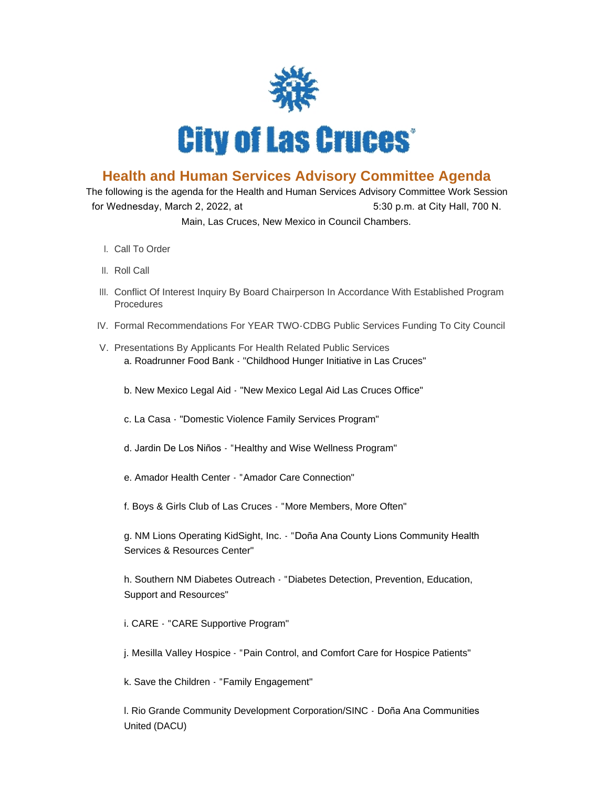

## **Health and Human Services Advisory Committee Agenda**

The following is the agenda for the Health and Human Services Advisory Committee Work Session for Wednesday, March 2, 2022, at  $5:30$  p.m. at City Hall, 700 N. Main, Las Cruces, New Mexico in Council Chambers.

- l. Call To Order
- II. Roll Call
- III. Conflict Of Interest Inquiry By Board Chairperson In Accordance With Established Program Procedures
- IV. Formal Recommendations For YEAR TWO-CDBG Public Services Funding To City Council
- V. Presentations By Applicants For Health Related Public Services a. Roadrunner Food Bank - "Childhood Hunger Initiative in Las Cruces"
	- b. New Mexico Legal Aid "New Mexico Legal Aid Las Cruces Office"
	- c. La Casa "Domestic Violence Family Services Program"
	- d. Jardin De Los Niños "Healthy and Wise Wellness Program"
	- e. Amador Health Center "Amador Care Connection"
	- f. Boys & Girls Club of Las Cruces "More Members, More Often"

g. NM Lions Operating KidSight, Inc. - "Doña Ana County Lions Community Health Services & Resources Center"

h. Southern NM Diabetes Outreach - "Diabetes Detection, Prevention, Education, Support and Resources"

i. CARE - "CARE Supportive Program"

j. Mesilla Valley Hospice - "Pain Control, and Comfort Care for Hospice Patients"

k. Save the Children - "Family Engagement"

l. Rio Grande Community Development Corporation/SINC - Doña Ana Communities United (DACU)